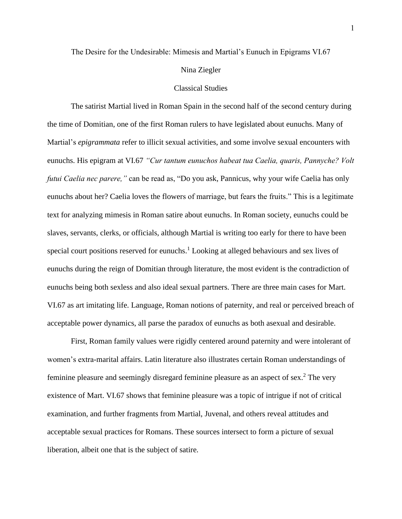### The Desire for the Undesirable: Mimesis and Martial's Eunuch in Epigrams VI.67

### Nina Ziegler

### Classical Studies

The satirist Martial lived in Roman Spain in the second half of the second century during the time of Domitian, one of the first Roman rulers to have legislated about eunuchs. Many of Martial's *epigrammata* refer to illicit sexual activities, and some involve sexual encounters with eunuchs. His epigram at VI.67 *"Cur tantum eunuchos habeat tua Caelia, quaris, Pannyche? Volt futui Caelia nec parere,"* can be read as, "Do you ask, Pannicus, why your wife Caelia has only eunuchs about her? Caelia loves the flowers of marriage, but fears the fruits." This is a legitimate text for analyzing mimesis in Roman satire about eunuchs. In Roman society, eunuchs could be slaves, servants, clerks, or officials, although Martial is writing too early for there to have been special court positions reserved for eunuchs.<sup>1</sup> Looking at alleged behaviours and sex lives of eunuchs during the reign of Domitian through literature, the most evident is the contradiction of eunuchs being both sexless and also ideal sexual partners. There are three main cases for Mart. VI.67 as art imitating life. Language, Roman notions of paternity, and real or perceived breach of acceptable power dynamics, all parse the paradox of eunuchs as both asexual and desirable.

First, Roman family values were rigidly centered around paternity and were intolerant of women's extra-marital affairs. Latin literature also illustrates certain Roman understandings of feminine pleasure and seemingly disregard feminine pleasure as an aspect of sex.<sup>2</sup> The very existence of Mart. VI.67 shows that feminine pleasure was a topic of intrigue if not of critical examination, and further fragments from Martial, Juvenal, and others reveal attitudes and acceptable sexual practices for Romans. These sources intersect to form a picture of sexual liberation, albeit one that is the subject of satire.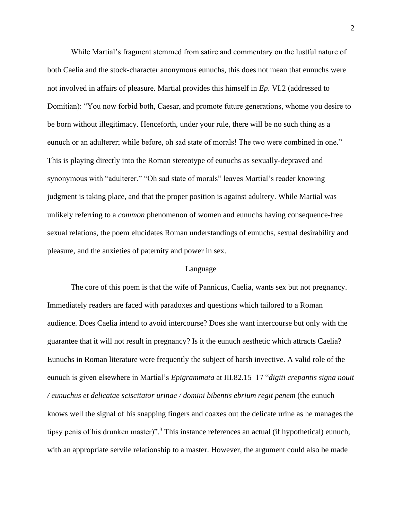While Martial's fragment stemmed from satire and commentary on the lustful nature of both Caelia and the stock-character anonymous eunuchs, this does not mean that eunuchs were not involved in affairs of pleasure. Martial provides this himself in *Ep*. VI.2 (addressed to Domitian): "You now forbid both, Caesar, and promote future generations, whome you desire to be born without illegitimacy. Henceforth, under your rule, there will be no such thing as a eunuch or an adulterer; while before, oh sad state of morals! The two were combined in one." This is playing directly into the Roman stereotype of eunuchs as sexually-depraved and synonymous with "adulterer." "Oh sad state of morals" leaves Martial's reader knowing judgment is taking place, and that the proper position is against adultery. While Martial was unlikely referring to a *common* phenomenon of women and eunuchs having consequence-free sexual relations, the poem elucidates Roman understandings of eunuchs, sexual desirability and pleasure, and the anxieties of paternity and power in sex.

### Language

The core of this poem is that the wife of Pannicus, Caelia, wants sex but not pregnancy. Immediately readers are faced with paradoxes and questions which tailored to a Roman audience. Does Caelia intend to avoid intercourse? Does she want intercourse but only with the guarantee that it will not result in pregnancy? Is it the eunuch aesthetic which attracts Caelia? Eunuchs in Roman literature were frequently the subject of harsh invective. A valid role of the eunuch is given elsewhere in Martial's *Epigrammata* at III.82.15–17 "*digiti crepantis signa nouit / eunuchus et delicatae sciscitator urinae / domini bibentis ebrium regit penem* (the eunuch knows well the signal of his snapping fingers and coaxes out the delicate urine as he manages the tipsy penis of his drunken master)".<sup>3</sup> This instance references an actual (if hypothetical) eunuch, with an appropriate servile relationship to a master. However, the argument could also be made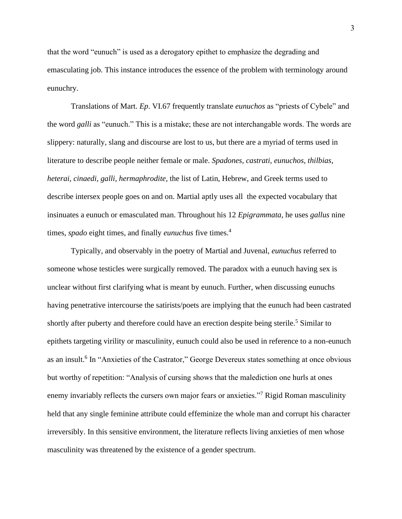that the word "eunuch" is used as a derogatory epithet to emphasize the degrading and emasculating job. This instance introduces the essence of the problem with terminology around eunuchry.

Translations of Mart. *Ep*. VI.67 frequently translate *eunuchos* as "priests of Cybele" and the word *galli* as "eunuch." This is a mistake; these are not interchangable words. The words are slippery: naturally, slang and discourse are lost to us, but there are a myriad of terms used in literature to describe people neither female or male. *Spadones, castrati, eunuchos, thilbias, heterai, cinaedi, galli, hermaphrodite*, the list of Latin, Hebrew, and Greek terms used to describe intersex people goes on and on. Martial aptly uses all the expected vocabulary that insinuates a eunuch or emasculated man. Throughout his 12 *Epigrammata*, he uses *gallus* nine times, *spado* eight times, and finally *eunuchus* five times.<sup>4</sup>

Typically, and observably in the poetry of Martial and Juvenal, *eunuchus* referred to someone whose testicles were surgically removed. The paradox with a eunuch having sex is unclear without first clarifying what is meant by eunuch. Further, when discussing eunuchs having penetrative intercourse the satirists/poets are implying that the eunuch had been castrated shortly after puberty and therefore could have an erection despite being sterile.<sup>5</sup> Similar to epithets targeting virility or masculinity, eunuch could also be used in reference to a non-eunuch as an insult.<sup>6</sup> In "Anxieties of the Castrator," George Devereux states something at once obvious but worthy of repetition: "Analysis of cursing shows that the malediction one hurls at ones enemy invariably reflects the cursers own major fears or anxieties."<sup>7</sup> Rigid Roman masculinity held that any single feminine attribute could effeminize the whole man and corrupt his character irreversibly. In this sensitive environment, the literature reflects living anxieties of men whose masculinity was threatened by the existence of a gender spectrum.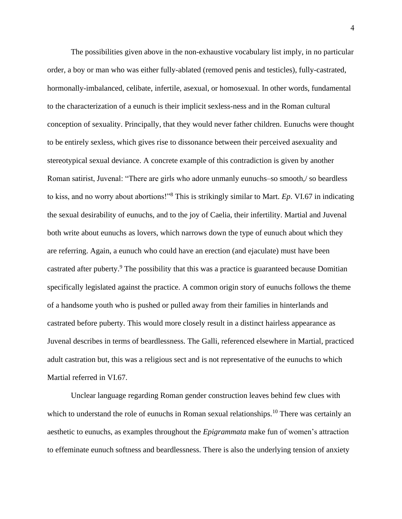The possibilities given above in the non-exhaustive vocabulary list imply, in no particular order, a boy or man who was either fully-ablated (removed penis and testicles), fully-castrated, hormonally-imbalanced, celibate, infertile, asexual, or homosexual. In other words, fundamental to the characterization of a eunuch is their implicit sexless-ness and in the Roman cultural conception of sexuality. Principally, that they would never father children. Eunuchs were thought to be entirely sexless, which gives rise to dissonance between their perceived asexuality and stereotypical sexual deviance. A concrete example of this contradiction is given by another Roman satirist, Juvenal: "There are girls who adore unmanly eunuchs–so smooth,/ so beardless to kiss, and no worry about abortions!"<sup>8</sup> This is strikingly similar to Mart. *Ep*. VI.67 in indicating the sexual desirability of eunuchs, and to the joy of Caelia, their infertility. Martial and Juvenal both write about eunuchs as lovers, which narrows down the type of eunuch about which they are referring. Again, a eunuch who could have an erection (and ejaculate) must have been castrated after puberty.<sup>9</sup> The possibility that this was a practice is guaranteed because Domitian specifically legislated against the practice. A common origin story of eunuchs follows the theme of a handsome youth who is pushed or pulled away from their families in hinterlands and castrated before puberty. This would more closely result in a distinct hairless appearance as Juvenal describes in terms of beardlessness. The Galli, referenced elsewhere in Martial, practiced adult castration but, this was a religious sect and is not representative of the eunuchs to which Martial referred in VI.67.

Unclear language regarding Roman gender construction leaves behind few clues with which to understand the role of eunuchs in Roman sexual relationships.<sup>10</sup> There was certainly an aesthetic to eunuchs, as examples throughout the *Epigrammata* make fun of women's attraction to effeminate eunuch softness and beardlessness. There is also the underlying tension of anxiety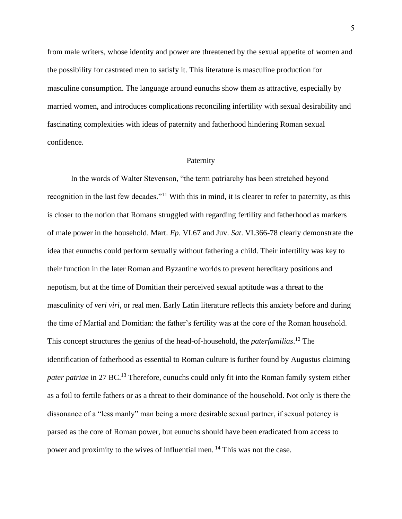from male writers, whose identity and power are threatened by the sexual appetite of women and the possibility for castrated men to satisfy it. This literature is masculine production for masculine consumption. The language around eunuchs show them as attractive, especially by married women, and introduces complications reconciling infertility with sexual desirability and fascinating complexities with ideas of paternity and fatherhood hindering Roman sexual confidence.

#### Paternity

In the words of Walter Stevenson, "the term patriarchy has been stretched beyond recognition in the last few decades."<sup>11</sup> With this in mind, it is clearer to refer to paternity, as this is closer to the notion that Romans struggled with regarding fertility and fatherhood as markers of male power in the household. Mart. *Ep*. VI.67 and Juv. *Sat*. VI.366-78 clearly demonstrate the idea that eunuchs could perform sexually without fathering a child. Their infertility was key to their function in the later Roman and Byzantine worlds to prevent hereditary positions and nepotism, but at the time of Domitian their perceived sexual aptitude was a threat to the masculinity of *veri viri,* or real men. Early Latin literature reflects this anxiety before and during the time of Martial and Domitian: the father's fertility was at the core of the Roman household. This concept structures the genius of the head-of-household, the *paterfamilias*. <sup>12</sup> The identification of fatherhood as essential to Roman culture is further found by Augustus claiming *pater patriae* in 27 BC.<sup>13</sup> Therefore, eunuchs could only fit into the Roman family system either as a foil to fertile fathers or as a threat to their dominance of the household. Not only is there the dissonance of a "less manly" man being a more desirable sexual partner, if sexual potency is parsed as the core of Roman power, but eunuchs should have been eradicated from access to power and proximity to the wives of influential men. <sup>14</sup> This was not the case.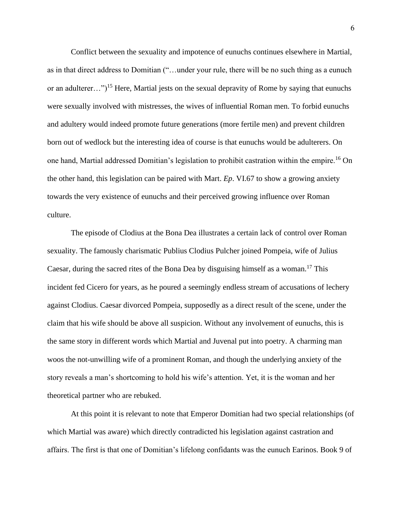Conflict between the sexuality and impotence of eunuchs continues elsewhere in Martial, as in that direct address to Domitian ("…under your rule, there will be no such thing as a eunuch or an adulterer...")<sup>15</sup> Here, Martial jests on the sexual depravity of Rome by saying that eunuchs were sexually involved with mistresses, the wives of influential Roman men. To forbid eunuchs and adultery would indeed promote future generations (more fertile men) and prevent children born out of wedlock but the interesting idea of course is that eunuchs would be adulterers. On one hand, Martial addressed Domitian's legislation to prohibit castration within the empire.<sup>16</sup> On the other hand, this legislation can be paired with Mart. *Ep*. VI.67 to show a growing anxiety towards the very existence of eunuchs and their perceived growing influence over Roman culture.

The episode of Clodius at the Bona Dea illustrates a certain lack of control over Roman sexuality. The famously charismatic Publius Clodius Pulcher joined Pompeia, wife of Julius Caesar, during the sacred rites of the Bona Dea by disguising himself as a woman.<sup>17</sup> This incident fed Cicero for years, as he poured a seemingly endless stream of accusations of lechery against Clodius. Caesar divorced Pompeia, supposedly as a direct result of the scene, under the claim that his wife should be above all suspicion. Without any involvement of eunuchs, this is the same story in different words which Martial and Juvenal put into poetry. A charming man woos the not-unwilling wife of a prominent Roman, and though the underlying anxiety of the story reveals a man's shortcoming to hold his wife's attention. Yet, it is the woman and her theoretical partner who are rebuked.

At this point it is relevant to note that Emperor Domitian had two special relationships (of which Martial was aware) which directly contradicted his legislation against castration and affairs. The first is that one of Domitian's lifelong confidants was the eunuch Earinos. Book 9 of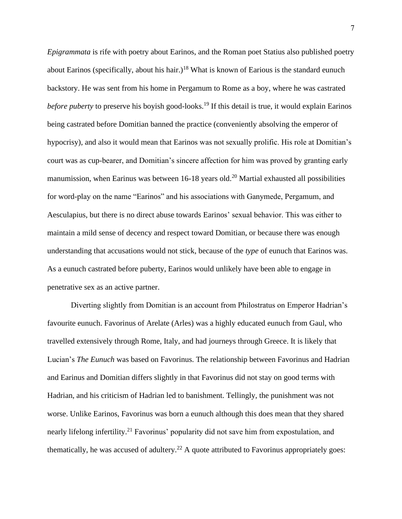*Epigrammata* is rife with poetry about Earinos, and the Roman poet Statius also published poetry about Earinos (specifically, about his hair.)<sup>18</sup> What is known of Earious is the standard eunuch backstory. He was sent from his home in Pergamum to Rome as a boy, where he was castrated *before puberty* to preserve his boyish good-looks.<sup>19</sup> If this detail is true, it would explain Earinos being castrated before Domitian banned the practice (conveniently absolving the emperor of hypocrisy), and also it would mean that Earinos was not sexually prolific. His role at Domitian's court was as cup-bearer, and Domitian's sincere affection for him was proved by granting early manumission, when Earinus was between  $16-18$  years old.<sup>20</sup> Martial exhausted all possibilities for word-play on the name "Earinos" and his associations with Ganymede, Pergamum, and Aesculapius, but there is no direct abuse towards Earinos' sexual behavior. This was either to maintain a mild sense of decency and respect toward Domitian, or because there was enough understanding that accusations would not stick, because of the *type* of eunuch that Earinos was. As a eunuch castrated before puberty, Earinos would unlikely have been able to engage in penetrative sex as an active partner.

Diverting slightly from Domitian is an account from Philostratus on Emperor Hadrian's favourite eunuch. Favorinus of Arelate (Arles) was a highly educated eunuch from Gaul, who travelled extensively through Rome, Italy, and had journeys through Greece. It is likely that Lucian's *The Eunuch* was based on Favorinus. The relationship between Favorinus and Hadrian and Earinus and Domitian differs slightly in that Favorinus did not stay on good terms with Hadrian, and his criticism of Hadrian led to banishment. Tellingly, the punishment was not worse. Unlike Earinos, Favorinus was born a eunuch although this does mean that they shared nearly lifelong infertility.<sup>21</sup> Favorinus' popularity did not save him from expostulation, and thematically, he was accused of adultery.<sup>22</sup> A quote attributed to Favorinus appropriately goes: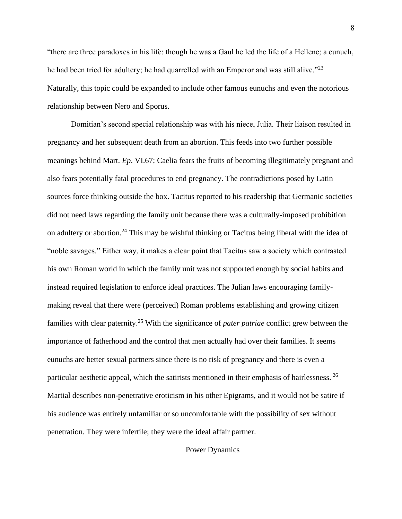"there are three paradoxes in his life: though he was a Gaul he led the life of a Hellene; a eunuch, he had been tried for adultery; he had quarrelled with an Emperor and was still alive."<sup>23</sup> Naturally, this topic could be expanded to include other famous eunuchs and even the notorious relationship between Nero and Sporus.

Domitian's second special relationship was with his niece, Julia. Their liaison resulted in pregnancy and her subsequent death from an abortion. This feeds into two further possible meanings behind Mart. *Ep*. VI.67; Caelia fears the fruits of becoming illegitimately pregnant and also fears potentially fatal procedures to end pregnancy. The contradictions posed by Latin sources force thinking outside the box. Tacitus reported to his readership that Germanic societies did not need laws regarding the family unit because there was a culturally-imposed prohibition on adultery or abortion.<sup>24</sup> This may be wishful thinking or Tacitus being liberal with the idea of "noble savages." Either way, it makes a clear point that Tacitus saw a society which contrasted his own Roman world in which the family unit was not supported enough by social habits and instead required legislation to enforce ideal practices. The Julian laws encouraging familymaking reveal that there were (perceived) Roman problems establishing and growing citizen families with clear paternity.<sup>25</sup> With the significance of *pater patriae* conflict grew between the importance of fatherhood and the control that men actually had over their families. It seems eunuchs are better sexual partners since there is no risk of pregnancy and there is even a particular aesthetic appeal, which the satirists mentioned in their emphasis of hairlessness. <sup>26</sup> Martial describes non-penetrative eroticism in his other Epigrams, and it would not be satire if his audience was entirely unfamiliar or so uncomfortable with the possibility of sex without penetration. They were infertile; they were the ideal affair partner.

Power Dynamics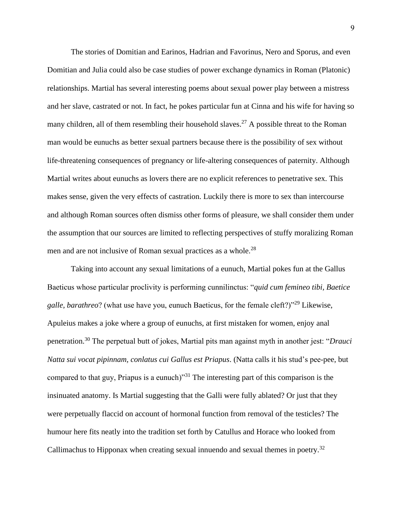The stories of Domitian and Earinos, Hadrian and Favorinus, Nero and Sporus, and even Domitian and Julia could also be case studies of power exchange dynamics in Roman (Platonic) relationships. Martial has several interesting poems about sexual power play between a mistress and her slave, castrated or not. In fact, he pokes particular fun at Cinna and his wife for having so many children, all of them resembling their household slaves.<sup>27</sup> A possible threat to the Roman man would be eunuchs as better sexual partners because there is the possibility of sex without life-threatening consequences of pregnancy or life-altering consequences of paternity. Although Martial writes about eunuchs as lovers there are no explicit references to penetrative sex. This makes sense, given the very effects of castration. Luckily there is more to sex than intercourse and although Roman sources often dismiss other forms of pleasure, we shall consider them under the assumption that our sources are limited to reflecting perspectives of stuffy moralizing Roman men and are not inclusive of Roman sexual practices as a whole.<sup>28</sup>

Taking into account any sexual limitations of a eunuch, Martial pokes fun at the Gallus Baeticus whose particular proclivity is performing cunnilinctus: "*quid cum femineo tibi, Baetice galle, barathreo*? (what use have you, eunuch Baeticus, for the female cleft?)"<sup>29</sup> Likewise, Apuleius makes a joke where a group of eunuchs, at first mistaken for women, enjoy anal penetration.<sup>30</sup> The perpetual butt of jokes, Martial pits man against myth in another jest: "*Drauci Natta sui vocat pipinnam, conlatus cui Gallus est Priapus*. (Natta calls it his stud's pee-pee, but compared to that guy, Priapus is a eunuch)<sup>331</sup> The interesting part of this comparison is the insinuated anatomy. Is Martial suggesting that the Galli were fully ablated? Or just that they were perpetually flaccid on account of hormonal function from removal of the testicles? The humour here fits neatly into the tradition set forth by Catullus and Horace who looked from Callimachus to Hipponax when creating sexual innuendo and sexual themes in poetry.<sup>32</sup>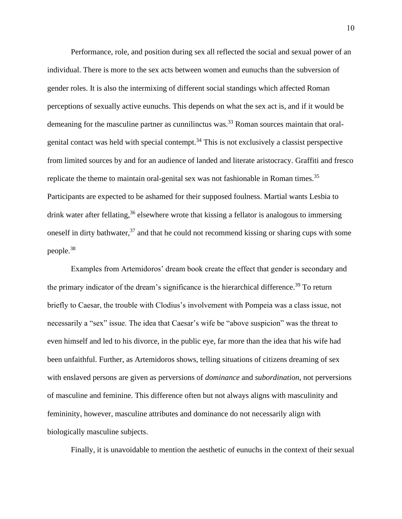Performance, role, and position during sex all reflected the social and sexual power of an individual. There is more to the sex acts between women and eunuchs than the subversion of gender roles. It is also the intermixing of different social standings which affected Roman perceptions of sexually active eunuchs. This depends on what the sex act is, and if it would be demeaning for the masculine partner as cunnilinctus was.<sup>33</sup> Roman sources maintain that oralgenital contact was held with special contempt.<sup>34</sup> This is not exclusively a classist perspective from limited sources by and for an audience of landed and literate aristocracy. Graffiti and fresco replicate the theme to maintain oral-genital sex was not fashionable in Roman times.<sup>35</sup> Participants are expected to be ashamed for their supposed foulness. Martial wants Lesbia to drink water after fellating,<sup>36</sup> elsewhere wrote that kissing a fellator is analogous to immersing oneself in dirty bathwater,  $37$  and that he could not recommend kissing or sharing cups with some people.<sup>38</sup>

Examples from Artemidoros' dream book create the effect that gender is secondary and the primary indicator of the dream's significance is the hierarchical difference.<sup>39</sup> To return briefly to Caesar, the trouble with Clodius's involvement with Pompeia was a class issue, not necessarily a "sex" issue. The idea that Caesar's wife be "above suspicion" was the threat to even himself and led to his divorce, in the public eye, far more than the idea that his wife had been unfaithful. Further, as Artemidoros shows, telling situations of citizens dreaming of sex with enslaved persons are given as perversions of *dominance* and *subordination*, not perversions of masculine and feminine. This difference often but not always aligns with masculinity and femininity, however, masculine attributes and dominance do not necessarily align with biologically masculine subjects.

Finally, it is unavoidable to mention the aesthetic of eunuchs in the context of their sexual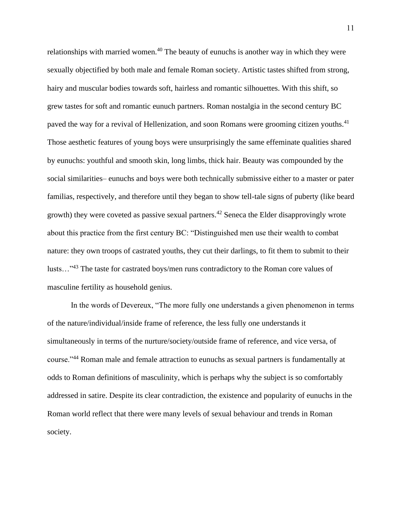relationships with married women.<sup>40</sup> The beauty of eunuchs is another way in which they were sexually objectified by both male and female Roman society. Artistic tastes shifted from strong, hairy and muscular bodies towards soft, hairless and romantic silhouettes. With this shift, so grew tastes for soft and romantic eunuch partners. Roman nostalgia in the second century BC paved the way for a revival of Hellenization, and soon Romans were grooming citizen youths.<sup>41</sup> Those aesthetic features of young boys were unsurprisingly the same effeminate qualities shared by eunuchs: youthful and smooth skin, long limbs, thick hair. Beauty was compounded by the social similarities– eunuchs and boys were both technically submissive either to a master or pater familias, respectively, and therefore until they began to show tell-tale signs of puberty (like beard growth) they were coveted as passive sexual partners.<sup>42</sup> Seneca the Elder disapprovingly wrote about this practice from the first century BC: "Distinguished men use their wealth to combat nature: they own troops of castrated youths, they cut their darlings, to fit them to submit to their lusts…"<sup>43</sup> The taste for castrated boys/men runs contradictory to the Roman core values of masculine fertility as household genius.

In the words of Devereux, "The more fully one understands a given phenomenon in terms of the nature/individual/inside frame of reference, the less fully one understands it simultaneously in terms of the nurture/society/outside frame of reference, and vice versa, of course."<sup>44</sup> Roman male and female attraction to eunuchs as sexual partners is fundamentally at odds to Roman definitions of masculinity, which is perhaps why the subject is so comfortably addressed in satire. Despite its clear contradiction, the existence and popularity of eunuchs in the Roman world reflect that there were many levels of sexual behaviour and trends in Roman society.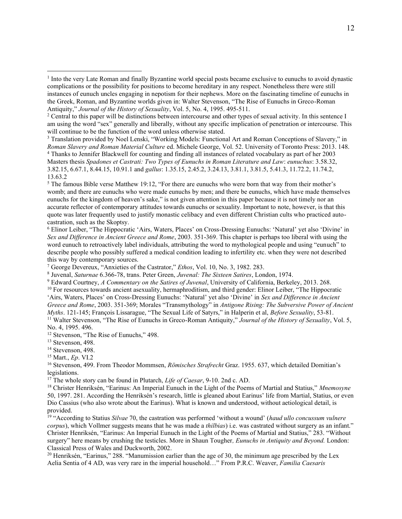<sup>3</sup> Translation provided by Noel Lenski, "Working Models: Functional Art and Roman Conceptions of Slavery," in *Roman Slavery and Roman Material Culture* ed. Michele George, Vol. 52. University of Toronto Press: 2013. 148. <sup>4</sup> Thanks to Jennifer Blackwell for counting and finding all instances of related vocabulary as part of her 2003 Masters thesis *Spadones et Castrati: Two Types of Eunuchs in Roman Literature and Law*: *eunuchus*: 3.58.32, 3.82.15, 6.67.1, 8.44.15, 10.91.1 and *gallus*: 1.35.15, 2.45.2, 3.24.13, 3.81.1, 3.81.5, 5.41.3, 11.72.2, 11.74.2, 13.63.2

<sup>5</sup> The famous Bible verse Matthew 19:12, "For there are eunuchs who were born that way from their mother's womb; and there are eunuchs who were made eunuchs by men; and there be eunuchs, which have made themselves eunuchs for the kingdom of heaven's sake," is not given attention in this paper because it is not timely nor an accurate reflector of contemporary attitudes towards eunuchs or sexuality. Important to note, however, is that this quote was later frequently used to justify monastic celibacy and even different Christian cults who practiced autocastration, such as the Skoptsy.

<sup>6</sup> Elinor Leiber, "The Hippocratic 'Airs, Waters, Places' on Cross-Dressing Eunuchs: 'Natural' yet also 'Divine' in *Sex and Difference in Ancient Greece and Rome*, 2003. 351-369. This chapter is perhaps too liberal with using the word eunuch to retroactively label individuals, attributing the word to mythological people and using "eunuch" to describe people who possibly suffered a medical condition leading to infertility etc. when they were not described this way by contemporary sources.

<sup>7</sup> George Devereux, "Anxieties of the Castrator," *Ethos*, Vol. 10, No. 3, 1982. 283.

8 Juvenal, *Saturnae* 6.366-78, trans. Peter Green, *Juvenal: The Sixteen Satires*, London, 1974.

<sup>9</sup> Edward Courtney, *A Commentary on the Satires of Juvenal*, University of California, Berkeley, 2013. 268.

<sup>10</sup> For resources towards ancient asexuality, hermaphroditism, and third gender: Elinor Leiber, "The Hippocratic 'Airs, Waters, Places' on Cross-Dressing Eunuchs: 'Natural' yet also 'Divine' in *Sex and Difference in Ancient Greece and Rome*, 2003. 351-369; Morales "Transmythology" in *Antigone Rising: The Subversive Power of Ancient Myths*. 121-145; François Lissarague, "The Sexual Life of Satyrs," in Halperin et al, *Before Sexuality*, 53-81. <sup>11</sup> Walter Stevenson, "The Rise of Eunuchs in Greco-Roman Antiquity," *Journal of the History of Sexuality*, Vol. 5,

No. 4, 1995. 496. <sup>12</sup> Stevenson, "The Rise of Eunuchs," 498.

<sup>13</sup> Stevenson, 498.

<sup>14</sup> Stevenson, 498.

<sup>15</sup> Mart., *Ep*. VI.2

<sup>16</sup> Stevenson, 499. From Theodor Mommsen, *Römisches Strafrecht* Graz. 1955. 637, which detailed Domitian's legislations.

<sup>17</sup> The whole story can be found in Plutarch, *Life of Caesar*, 9-10. 2nd c. AD.

<sup>18</sup> Christer Henriksén, "Earinus: An Imperial Eunuch in the Light of the Poems of Martial and Statius," *Mnemosyne* 50, 1997. 281. According the Henriksén's research, little is gleaned about Earinus' life from Martial, Statius, or even Dio Cassius (who also wrote about the Earinus). What is known and understood, without aetiological detail, is provided.

<sup>19</sup> "According to Statius *Silvae* 70, the castration was performed 'without a wound' (*haud ullo concussum vulnere corpus*), which Vollmer suggests means that he was made a *thilbias*) i.e. was castrated without surgery as an infant." Christer Henriksén, "Earinus: An Imperial Eunuch in the Light of the Poems of Martial and Statius," 283. "Without surgery" here means by crushing the testicles. More in Shaun Tougher*, Eunuchs in Antiquity and Beyond.* London: Classical Press of Wales and Duckworth, 2002.

<sup>20</sup> Henriksén, "Earinus," 288. "Manumission earlier than the age of 30, the minimum age prescribed by the Lex Aelia Sentia of 4 AD, was very rare in the imperial household…" From P.R.C. Weaver, *Familia Caesaris*

<sup>&</sup>lt;sup>1</sup> Into the very Late Roman and finally Byzantine world special posts became exclusive to eunuchs to avoid dynastic complications or the possibility for positions to become hereditary in any respect. Nonetheless there were still instances of eunuch uncles engaging in nepotism for their nephews. More on the fascinating timeline of eunuchs in the Greek, Roman, and Byzantine worlds given in: Walter Stevenson, "The Rise of Eunuchs in Greco-Roman Antiquity," *Journal of the History of Sexuality*, Vol. 5, No. 4, 1995. 495-511.

<sup>&</sup>lt;sup>2</sup> Central to this paper will be distinctions between intercourse and other types of sexual activity. In this sentence I am using the word "sex" generally and liberally, without any specific implication of penetration or intercourse. This will continue to be the function of the word unless otherwise stated.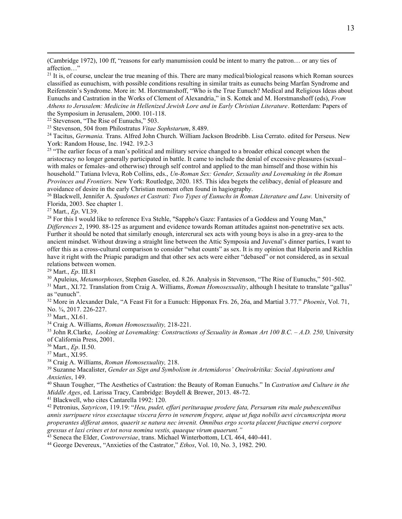(Cambridge 1972), 100 ff, "reasons for early manumission could be intent to marry the patron… or any ties of affection…"

<sup>21</sup> It is, of course, unclear the true meaning of this. There are many medical/biological reasons which Roman sources classified as eunuchism, with possible conditions resulting in similar traits as eunuchs being Marfan Syndrome and Reifenstein's Syndrome. More in: M. Horstmanshoff, "Who is the True Eunuch? Medical and Religious Ideas about Eunuchs and Castration in the Works of Clement of Alexandria," in S. Kottek and M. Horstmanshoff (eds), *From Athens to Jerusalem: Medicine in Hellenized Jewish Lore and in Early Christian Literature*. Rotterdam: Papers of the Symposium in Jerusalem, 2000. 101-118.

<sup>22</sup> Stevenson, "The Rise of Eunuchs," 503.

<sup>23</sup> Stevenson, 504 from Philostratus *Vitae Sophstarum*, 8.489.

<sup>24</sup> Tacitus, *Germania.* Trans. Alfred John Church. William Jackson Brodribb. Lisa Cerrato. edited for Perseus. New York: Random House, Inc. 1942. 19.2-3

<sup>25</sup> "The earlier focus of a man's political and military service changed to a broader ethical concept when the aristocracy no longer generally participated in battle. It came to include the denial of excessive pleasures (sexual– with males or females–and otherwise) through self control and applied to the man himself and those within his household." Tatiana Ivleva, Rob Collins, eds., *Un-Roman Sex: Gender, Sexuality and Lovemaking in the Roman Provinces and Frontiers.* New York: Routledge, 2020. 185. This idea begets the celibacy, denial of pleasure and avoidance of desire in the early Christian moment often found in hagiography.

<sup>26</sup> Blackwell, Jennifer A. *Spadones et Castrati: Two Types of Eunuchs in Roman Literature and Law.* University of Florida, 2003. See chapter 1.

<sup>27</sup> Mart., *Ep*. VI.39.

<sup>28</sup> For this I would like to reference Eva Stehle, "Sappho's Gaze: Fantasies of a Goddess and Young Man," *Differences* 2, 1990. 88-125 as argument and evidence towards Roman attitudes against non-penetrative sex acts. Further it should be noted that similarly enough, intercrural sex acts with young boys is also in a grey-area to the ancient mindset. Without drawing a straight line between the Attic Symposia and Juvenal's dinner parties, I want to offer this as a cross-cultural comparison to consider "what counts" as sex. It is my opinion that Halperin and Richlin have it right with the Priapic paradigm and that other sex acts were either "debased" or not considered, as in sexual relations between women.

<sup>29</sup> Mart., *Ep*. III.81

<sup>30</sup> Apuleius, *Metamorphoses*, Stephen Gaselee, ed. 8.26. Analysis in Stevenson, "The Rise of Eunuchs," 501-502.

<sup>31</sup> Mart., XI.72. Translation from Craig A. Williams, *Roman Homosexuality*, although I hesitate to translate "gallus" as "eunuch".

<sup>32</sup> More in Alexander Dale, "A Feast Fit for a Eunuch: Hipponax Frs. 26, 26a, and Martial 3.77." *Phoenix*, Vol. 71, No. ¾, 2017. 226-227.

<sup>33</sup> Mart., XI.61.

<sup>34</sup> Craig A. Williams, *Roman Homosexuality,* 218-221.

<sup>35</sup> John R.Clarke, *Looking at Lovemaking: Constructions of Sexuality in Roman Art 100 B.C. – A.D. 250,* University of California Press, 2001.

<sup>36</sup> Mart., *Ep*. II.50.

<sup>37</sup> Mart., XI.95.

<sup>38</sup> Craig A. Williams, *Roman Homosexuality,* 218.

<sup>39</sup> Suzanne Macalister, *Gender as Sign and Symbolism in Artemidoros' Oneirokritika: Social Aspirations and Anxieties*, 149.

<sup>40</sup> Shaun Tougher, "The Aesthetics of Castration: the Beauty of Roman Eunuchs." In *Castration and Culture in the Middle Ages*, ed. Larissa Tracy, Cambridge: Boydell & Brewer, 2013. 48-72.

<sup>41</sup> Blackwell, who cites Cantarella 1992: 120.

<sup>42</sup> Petronius, *Satyricon*, 119.19: "*Heu, pudet, effari perituraque prodere fata, Persarum ritu male pubescentibus annis surripuere viros exsectaque viscera ferro in venerem fregere, atque ut fuga nobilis aevi circumscripta mora properantes differat annos, quaerit se natura nec invenit. Omnibus ergo scorta placent fractique enervi corpore gressus et laxi crines et tot nova nomina vestis, quaeque virum quaerunt."*

<sup>43</sup> Seneca the Elder, *Controversiae*, trans. Michael Winterbottom, LCL 464, 440-441.

<sup>44</sup> George Devereux, "Anxieties of the Castrator," *Ethos*, Vol. 10, No. 3, 1982. 290.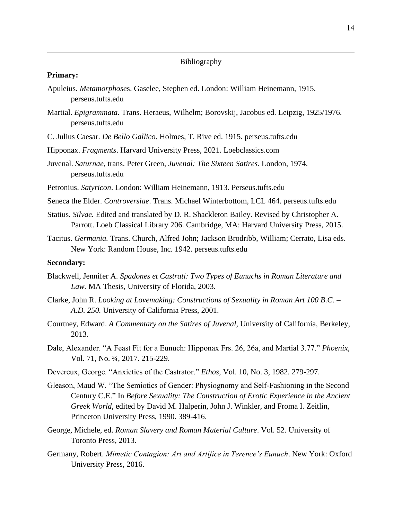# Bibliography

## **Primary:**

- Apuleius. *Metamorphose*s. Gaselee, Stephen ed. London: William Heinemann, 1915. perseus.tufts.edu
- Martial. *Epigrammata*. Trans. Heraeus, Wilhelm; Borovskij, Jacobus ed. Leipzig, 1925/1976. perseus.tufts.edu
- C. Julius Caesar. *De Bello Gallico*. Holmes, T. Rive ed. 1915. perseus.tufts.edu
- Hipponax. *Fragments*. Harvard University Press, 2021. Loebclassics.com
- Juvenal. *Saturnae*, trans. Peter Green, *Juvenal: The Sixteen Satires*. London, 1974. perseus.tufts.edu
- Petronius. *Satyricon*. London: William Heinemann, 1913. Perseus.tufts.edu
- Seneca the Elder. *Controversiae*. Trans. Michael Winterbottom, LCL 464. perseus.tufts.edu
- Statius. *Silvae.* Edited and translated by D. R. Shackleton Bailey. Revised by Christopher A. Parrott. Loeb Classical Library 206. Cambridge, MA: Harvard University Press, 2015.
- Tacitus. *Germania.* Trans. Church, Alfred John; Jackson Brodribb, William; Cerrato, Lisa eds. New York: Random House, Inc. 1942. perseus.tufts.edu

# **Secondary:**

- Blackwell, Jennifer A. *Spadones et Castrati: Two Types of Eunuchs in Roman Literature and Law.* MA Thesis, University of Florida, 2003.
- Clarke, John R. *Looking at Lovemaking: Constructions of Sexuality in Roman Art 100 B.C. – A.D. 250.* University of California Press, 2001.
- Courtney, Edward. *A Commentary on the Satires of Juvenal*, University of California, Berkeley, 2013.
- Dale, Alexander. "A Feast Fit for a Eunuch: Hipponax Frs. 26, 26a, and Martial 3.77." *Phoenix*, Vol. 71, No. ¾, 2017. 215-229.
- Devereux, George. "Anxieties of the Castrator." *Ethos*, Vol. 10, No. 3, 1982. 279-297.
- Gleason, Maud W. "The Semiotics of Gender: Physiognomy and Self-Fashioning in the Second Century C.E." In *Before Sexuality: The Construction of Erotic Experience in the Ancient Greek World*, edited by David M. Halperin, John J. Winkler, and Froma I. Zeitlin, Princeton University Press, 1990. 389-416.
- George, Michele, ed. *Roman Slavery and Roman Material Culture*. Vol. 52. University of Toronto Press, 2013.
- Germany, Robert. *Mimetic Contagion: Art and Artifice in Terence's Eunuch*. New York: Oxford University Press, 2016.